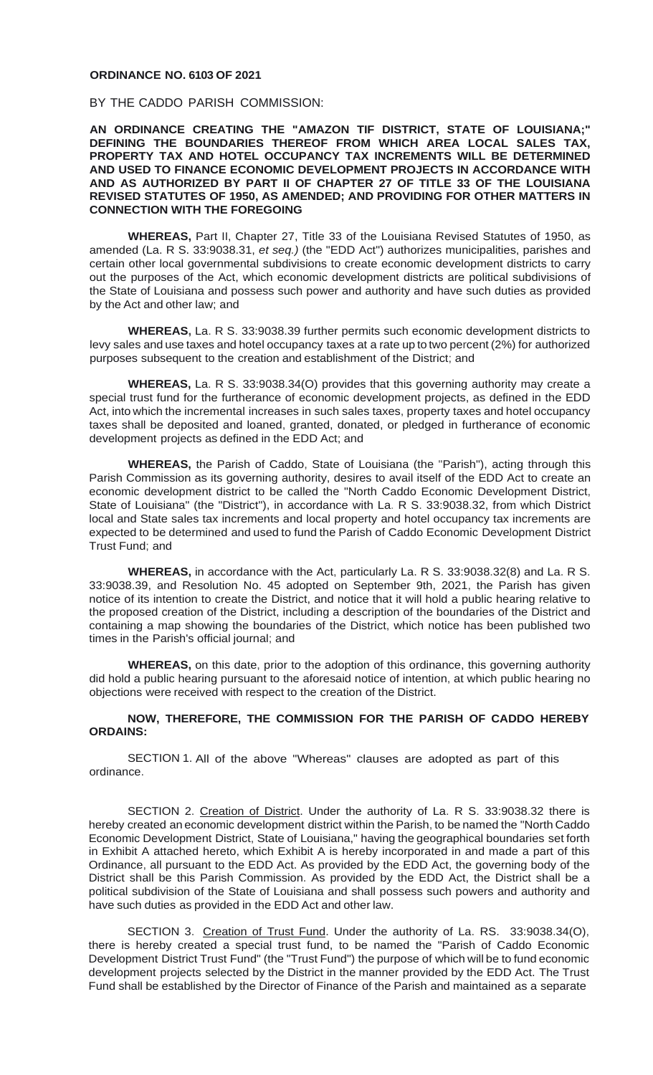## **ORDINANCE NO. 6103 OF 2021**

BY THE CADDO PARISH COMMISSION:

**AN ORDINANCE CREATING THE "AMAZON TIF DISTRICT, STATE OF LOUISIANA;" DEFINING THE BOUNDARIES THEREOF FROM WHICH AREA LOCAL SALES TAX, PROPERTY TAX AND HOTEL OCCUPANCY TAX INCREMENTS WILL BE DETERMINED AND USED TO FINANCE ECONOMIC DEVELOPMENT PROJECTS IN ACCORDANCE WITH AND AS AUTHORIZED BY PART II OF CHAPTER 27 OF TITLE 33 OF THE LOUISIANA REVISED STATUTES OF 1950, AS AMENDED; AND PROVIDING FOR OTHER MATTERS IN CONNECTION WITH THE FOREGOING**

**WHEREAS,** Part II, Chapter 27, Title 33 of the Louisiana Revised Statutes of 1950, as amended (La. R S. 33:9038.31, *et seq.)* (the "EDD Act") authorizes municipalities, parishes and certain other local governmental subdivisions to create economic development districts to carry out the purposes of the Act, which economic development districts are political subdivisions of the State of Louisiana and possess such power and authority and have such duties as provided by the Act and other law; and

**WHEREAS,** La. R S. 33:9038.39 further permits such economic development districts to levy sales and use taxes and hotel occupancy taxes at a rate up to two percent (2%) for authorized purposes subsequent to the creation and establishment of the District; and

**WHEREAS,** La. R S. 33:9038.34(O) provides that this governing authority may create a special trust fund for the furtherance of economic development projects, as defined in the EDD Act, into which the incremental increases in such sales taxes, property taxes and hotel occupancy taxes shall be deposited and loaned, granted, donated, or pledged in furtherance of economic development projects as defined in the EDD Act; and

**WHEREAS,** the Parish of Caddo, State of Louisiana (the "Parish"), acting through this Parish Commission as its governing authority, desires to avail itself of the EDD Act to create an economic development district to be called the "North Caddo Economic Development District, State of Louisiana" (the "District"), in accordance with La. R S. 33:9038.32, from which District local and State sales tax increments and local property and hotel occupancy tax increments are expected to be determined and used to fund the Parish of Caddo Economic Development District Trust Fund; and

**WHEREAS,** in accordance with the Act, particularly La. R S. 33:9038.32(8) and La. R S. 33:9038.39, and Resolution No. 45 adopted on September 9th, 2021, the Parish has given notice of its intention to create the District, and notice that it will hold a public hearing relative to the proposed creation of the District, including a description of the boundaries of the District and containing a map showing the boundaries of the District, which notice has been published two times in the Parish's official journal; and

**WHEREAS,** on this date, prior to the adoption of this ordinance, this governing authority did hold a public hearing pursuant to the aforesaid notice of intention, at which public hearing no objections were received with respect to the creation of the District.

## **NOW, THEREFORE, THE COMMISSION FOR THE PARISH OF CADDO HEREBY ORDAINS:**

SECTION 1. All of the above "Whereas" clauses are adopted as part of this ordinance.

SECTION 2. Creation of District. Under the authority of La. R S. 33:9038.32 there is hereby created an economic development district within the Parish, to be named the "North Caddo Economic Development District, State of Louisiana," having the geographical boundaries set forth in Exhibit A attached hereto, which Exhibit A is hereby incorporated in and made a part of this Ordinance, all pursuant to the EDD Act. As provided by the EDD Act, the governing body of the District shall be this Parish Commission. As provided by the EDD Act, the District shall be a political subdivision of the State of Louisiana and shall possess such powers and authority and have such duties as provided in the EDD Act and other law.

SECTION 3. Creation of Trust Fund. Under the authority of La. RS. 33:9038.34(O), there is hereby created a special trust fund, to be named the "Parish of Caddo Economic Development District Trust Fund" (the "Trust Fund") the purpose of which will be to fund economic development projects selected by the District in the manner provided by the EDD Act. The Trust Fund shall be established by the Director of Finance of the Parish and maintained as a separate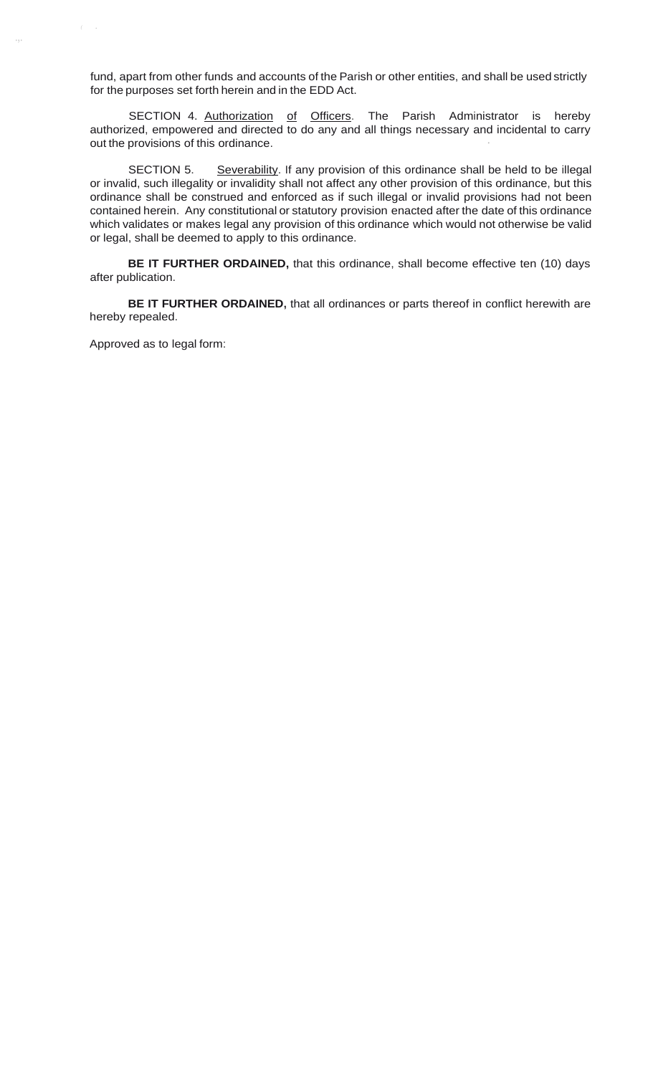fund, apart from other funds and accounts of the Parish or other entities, and shall be used strictly for the purposes set forth herein and in the EDD Act.

SECTION 4. Authorization of Officers. The Parish Administrator is hereby authorized, empowered and directed to do any and all things necessary and incidental to carry out the provisions of this ordinance.

SECTION 5. Severability. If any provision of this ordinance shall be held to be illegal or invalid, such illegality or invalidity shall not affect any other provision of this ordinance, but this ordinance shall be construed and enforced as if such illegal or invalid provisions had not been contained herein. Any constitutional or statutory provision enacted after the date of this ordinance which validates or makes legal any provision of this ordinance which would not otherwise be valid or legal, shall be deemed to apply to this ordinance.

**BE IT FURTHER ORDAINED,** that this ordinance, shall become effective ten (10) days after publication.

**BE IT FURTHER ORDAINED,** that all ordinances or parts thereof in conflict herewith are hereby repealed.

Approved as to legal form:

.,.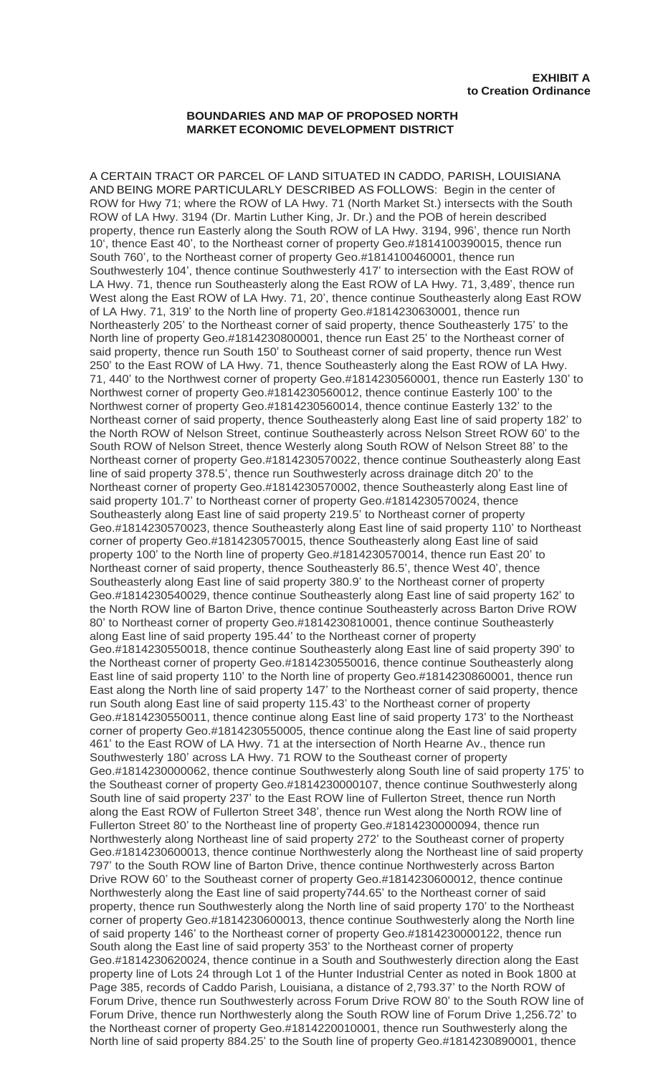## **BOUNDARIES AND MAP OF PROPOSED NORTH MARKET ECONOMIC DEVELOPMENT DISTRICT**

A CERTAIN TRACT OR PARCEL OF LAND SITUATED IN CADDO, PARISH, LOUISIANA AND BEING MORE PARTICULARLY DESCRIBED AS FOLLOWS: Begin in the center of ROW for Hwy 71; where the ROW of LA Hwy. 71 (North Market St.) intersects with the South ROW of LA Hwy. 3194 (Dr. Martin Luther King, Jr. Dr.) and the POB of herein described property, thence run Easterly along the South ROW of LA Hwy. 3194, 996', thence run North 10', thence East 40', to the Northeast corner of property Geo.#1814100390015, thence run South 760', to the Northeast corner of property Geo.#1814100460001, thence run Southwesterly 104', thence continue Southwesterly 417' to intersection with the East ROW of LA Hwy. 71, thence run Southeasterly along the East ROW of LA Hwy. 71, 3,489', thence run West along the East ROW of LA Hwy. 71, 20', thence continue Southeasterly along East ROW of LA Hwy. 71, 319' to the North line of property Geo.#1814230630001, thence run Northeasterly 205' to the Northeast corner of said property, thence Southeasterly 175' to the North line of property Geo.#1814230800001, thence run East 25' to the Northeast corner of said property, thence run South 150' to Southeast corner of said property, thence run West 250' to the East ROW of LA Hwy. 71, thence Southeasterly along the East ROW of LA Hwy. 71, 440' to the Northwest corner of property Geo.#1814230560001, thence run Easterly 130' to Northwest corner of property Geo.#1814230560012, thence continue Easterly 100' to the Northwest corner of property Geo.#1814230560014, thence continue Easterly 132' to the Northeast corner of said property, thence Southeasterly along East line of said property 182' to the North ROW of Nelson Street, continue Southeasterly across Nelson Street ROW 60' to the South ROW of Nelson Street, thence Westerly along South ROW of Nelson Street 88' to the Northeast corner of property Geo.#1814230570022, thence continue Southeasterly along East line of said property 378.5', thence run Southwesterly across drainage ditch 20' to the Northeast corner of property Geo.#1814230570002, thence Southeasterly along East line of said property 101.7' to Northeast corner of property Geo.#1814230570024, thence Southeasterly along East line of said property 219.5' to Northeast corner of property Geo.#1814230570023, thence Southeasterly along East line of said property 110' to Northeast corner of property Geo.#1814230570015, thence Southeasterly along East line of said property 100' to the North line of property Geo.#1814230570014, thence run East 20' to Northeast corner of said property, thence Southeasterly 86.5', thence West 40', thence Southeasterly along East line of said property 380.9' to the Northeast corner of property Geo.#1814230540029, thence continue Southeasterly along East line of said property 162' to the North ROW line of Barton Drive, thence continue Southeasterly across Barton Drive ROW 80' to Northeast corner of property Geo.#1814230810001, thence continue Southeasterly along East line of said property 195.44' to the Northeast corner of property Geo.#1814230550018, thence continue Southeasterly along East line of said property 390' to the Northeast corner of property Geo.#1814230550016, thence continue Southeasterly along East line of said property 110' to the North line of property Geo.#1814230860001, thence run East along the North line of said property 147' to the Northeast corner of said property, thence run South along East line of said property 115.43' to the Northeast corner of property Geo.#1814230550011, thence continue along East line of said property 173' to the Northeast corner of property Geo.#1814230550005, thence continue along the East line of said property 461' to the East ROW of LA Hwy. 71 at the intersection of North Hearne Av., thence run Southwesterly 180' across LA Hwy. 71 ROW to the Southeast corner of property Geo.#1814230000062, thence continue Southwesterly along South line of said property 175' to the Southeast corner of property Geo.#1814230000107, thence continue Southwesterly along South line of said property 237' to the East ROW line of Fullerton Street, thence run North along the East ROW of Fullerton Street 348', thence run West along the North ROW line of Fullerton Street 80' to the Northeast line of property Geo.#1814230000094, thence run Northwesterly along Northeast line of said property 272' to the Southeast corner of property Geo.#1814230600013, thence continue Northwesterly along the Northeast line of said property 797' to the South ROW line of Barton Drive, thence continue Northwesterly across Barton Drive ROW 60' to the Southeast corner of property Geo.#1814230600012, thence continue Northwesterly along the East line of said property744.65' to the Northeast corner of said property, thence run Southwesterly along the North line of said property 170' to the Northeast corner of property Geo.#1814230600013, thence continue Southwesterly along the North line of said property 146' to the Northeast corner of property Geo.#1814230000122, thence run South along the East line of said property 353' to the Northeast corner of property Geo.#1814230620024, thence continue in a South and Southwesterly direction along the East property line of Lots 24 through Lot 1 of the Hunter Industrial Center as noted in Book 1800 at Page 385, records of Caddo Parish, Louisiana, a distance of 2,793.37' to the North ROW of Forum Drive, thence run Southwesterly across Forum Drive ROW 80' to the South ROW line of Forum Drive, thence run Northwesterly along the South ROW line of Forum Drive 1,256.72' to the Northeast corner of property Geo.#1814220010001, thence run Southwesterly along the North line of said property 884.25' to the South line of property Geo.#1814230890001, thence